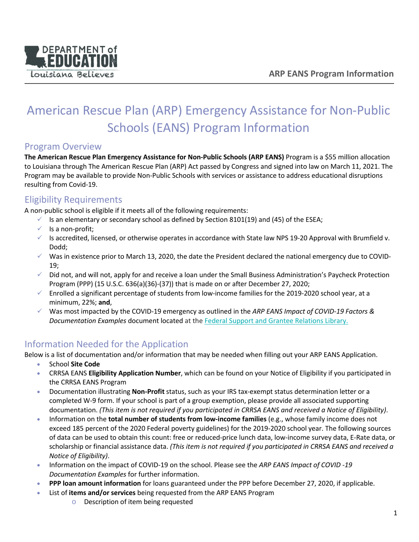

# American Rescue Plan (ARP) Emergency Assistance for Non-Public Schools (EANS) Program Information

### Program Overview

**The American Rescue Plan Emergency Assistance for Non-Public Schools (ARP EANS)** Program is a \$55 million allocation to Louisiana through The American Rescue Plan (ARP) Act passed by Congress and signed into law on March 11, 2021. The Program may be available to provide Non-Public Schools with services or assistance to address educational disruptions resulting from Covid-19.

### Eligibility Requirements

A non-public school is eligible if it meets all of the following requirements:

- $\checkmark$  Is an elementary or secondary school as defined by Section 8101(19) and (45) of the ESEA;
- $\checkmark$  Is a non-profit;
- $\checkmark$  Is accredited, licensed, or otherwise operates in accordance with State law NPS 19-20 Approval with Brumfield v. Dodd;
- $\checkmark$  Was in existence prior to March 13, 2020, the date the President declared the national emergency due to COVID-19;
- $\checkmark$  Did not, and will not, apply for and receive a loan under the Small Business Administration's Paycheck Protection Program (PPP) (15 U.S.C. 636(a)(36)-(37)) that is made on or after December 27, 2020;
- $\checkmark$  Enrolled a significant percentage of students from low-income families for the 2019-2020 school year, at a minimum, 22%; **and**,
- Was most impacted by the COVID-19 emergency as outlined in the *ARP EANS Impact of COVID-19 Factors & Documentation Examples* document located at the Federal Support and Grantee Relations Library.

## Information Needed for the Application

Below is a list of documentation and/or information that may be needed when filling out your ARP EANS Application.

- School **Site Code**
- CRRSA EANS **Eligibility Application Number**, which can be found on your Notice of Eligibility if you participated in the CRRSA EANS Program
- Documentation illustrating **Non-Profit** status, such as your IRS tax-exempt status determination letter or a completed W-9 form. If your school is part of a group exemption, please provide all associated supporting documentation. *(This item is not required if you participated in CRRSA EANS and received a Notice of Eligibility)*.
- Information on the **total number of students from low-income families** (e.g., whose family income does not exceed 185 percent of the 2020 Federal poverty guidelines) for the 2019-2020 school year. The following sources of data can be used to obtain this count: free or reduced-price lunch data, low-income survey data, E-Rate data, or scholarship or financial assistance data. *(This item is not required if you participated in CRRSA EANS and received a Notice of Eligibility)*.
- Information on the impact of COVID-19 on the school. Please see the *ARP EANS Impact of COVID -19 Documentation Examples* for further information.
- **PPP loan amount information** for loans guaranteed under the PPP before December 27, 2020, if applicable.
- List of **items and/or services** being requested from the ARP EANS Program
	- o Description of item being requested